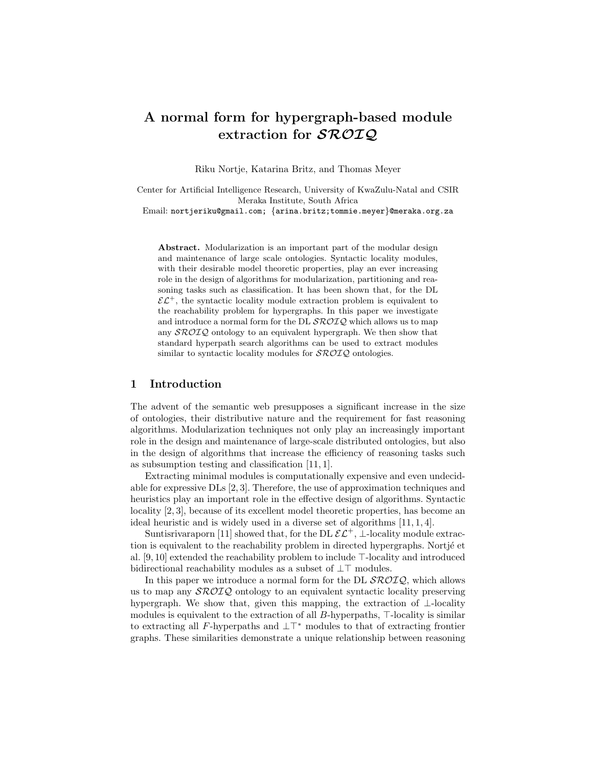# A normal form for hypergraph-based module extraction for  $\mathcal{SROIQ}$

Riku Nortje, Katarina Britz, and Thomas Meyer

Center for Artificial Intelligence Research, University of KwaZulu-Natal and CSIR Meraka Institute, South Africa

Email: nortjeriku@gmail.com; {arina.britz;tommie.meyer}@meraka.org.za

Abstract. Modularization is an important part of the modular design and maintenance of large scale ontologies. Syntactic locality modules, with their desirable model theoretic properties, play an ever increasing role in the design of algorithms for modularization, partitioning and reasoning tasks such as classification. It has been shown that, for the DL  $\mathcal{E}\mathcal{L}^+$ , the syntactic locality module extraction problem is equivalent to the reachability problem for hypergraphs. In this paper we investigate and introduce a normal form for the DL  $\mathcal{SROLQ}$  which allows us to map any  $\mathcal{SROIQ}$  ontology to an equivalent hypergraph. We then show that standard hyperpath search algorithms can be used to extract modules similar to syntactic locality modules for  $\mathcal{SROIQ}$  ontologies.

## 1 Introduction

The advent of the semantic web presupposes a significant increase in the size of ontologies, their distributive nature and the requirement for fast reasoning algorithms. Modularization techniques not only play an increasingly important role in the design and maintenance of large-scale distributed ontologies, but also in the design of algorithms that increase the efficiency of reasoning tasks such as subsumption testing and classification [11, 1].

Extracting minimal modules is computationally expensive and even undecidable for expressive DLs [2, 3]. Therefore, the use of approximation techniques and heuristics play an important role in the effective design of algorithms. Syntactic locality [2, 3], because of its excellent model theoretic properties, has become an ideal heuristic and is widely used in a diverse set of algorithms [11, 1, 4].

Suntisrivaraporn [11] showed that, for the DL  $\mathcal{E} \mathcal{L}^+$ , ⊥-locality module extraction is equivalent to the reachability problem in directed hypergraphs. Nortjé et al.  $[9, 10]$  extended the reachability problem to include  $\top$ -locality and introduced bidirectional reachability modules as a subset of  $\bot\top$  modules.

In this paper we introduce a normal form for the DL  $\mathcal{SROLQ}$ , which allows us to map any  $\mathcal{SROLQ}$  ontology to an equivalent syntactic locality preserving hypergraph. We show that, given this mapping, the extraction of ⊥-locality modules is equivalent to the extraction of all  $B$ -hyperpaths,  $\top$ -locality is similar to extracting all F-hyperpaths and  $\perp\top^*$  modules to that of extracting frontier graphs. These similarities demonstrate a unique relationship between reasoning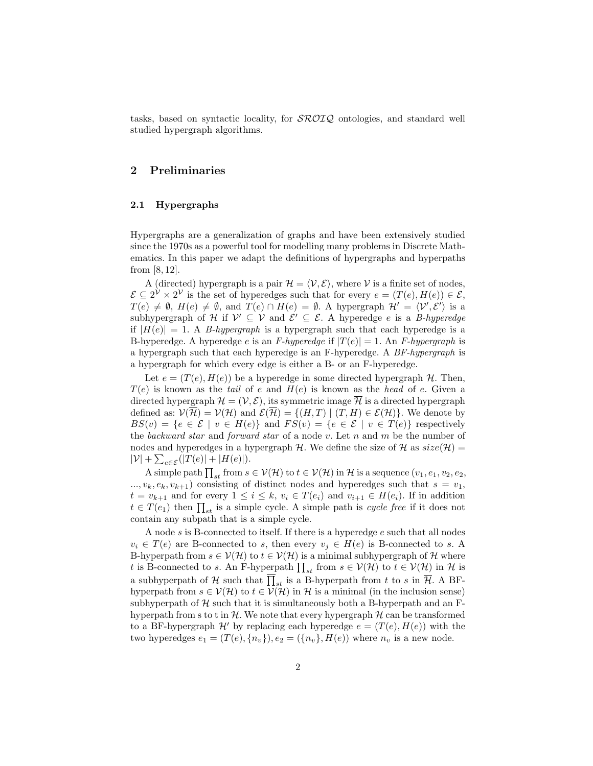tasks, based on syntactic locality, for  $\mathcal{SROLQ}$  ontologies, and standard well studied hypergraph algorithms.

## 2 Preliminaries

#### 2.1 Hypergraphs

Hypergraphs are a generalization of graphs and have been extensively studied since the 1970s as a powerful tool for modelling many problems in Discrete Mathematics. In this paper we adapt the definitions of hypergraphs and hyperpaths from [8, 12].

A (directed) hypergraph is a pair  $\mathcal{H} = \langle \mathcal{V}, \mathcal{E} \rangle$ , where V is a finite set of nodes,  $\mathcal{E} \subseteq 2^{\mathcal{V}} \times 2^{\mathcal{V}}$  is the set of hyperedges such that for every  $e = (T(e), H(e)) \in \mathcal{E}$ ,  $T(e) \neq \emptyset$ ,  $H(e) \neq \emptyset$ , and  $T(e) \cap H(e) = \emptyset$ . A hypergraph  $\mathcal{H}' = \langle \mathcal{V}', \mathcal{E}' \rangle$  is a subhypergraph of H if  $\mathcal{V}' \subseteq \mathcal{V}$  and  $\mathcal{E}' \subseteq \mathcal{E}$ . A hyperedge e is a B-hyperedge if  $|H(e)| = 1$ . A *B-hypergraph* is a hypergraph such that each hyperedge is a B-hyperedge. A hyperedge e is an F-hyperedge if  $|T(e)| = 1$ . An F-hypergraph is a hypergraph such that each hyperedge is an F-hyperedge. A BF-hypergraph is a hypergraph for which every edge is either a B- or an F-hyperedge.

Let  $e = (T(e), H(e))$  be a hyperedge in some directed hypergraph H. Then,  $T(e)$  is known as the tail of e and  $H(e)$  is known as the head of e. Given a directed hypergraph  $\mathcal{H} = (\mathcal{V}, \mathcal{E})$ , its symmetric image  $\overline{\mathcal{H}}$  is a directed hypergraph defined as:  $\mathcal{V}(\overline{\mathcal{H}}) = \mathcal{V}(\mathcal{H})$  and  $\mathcal{E}(\overline{\mathcal{H}}) = \{(H, T) | (T, H) \in \mathcal{E}(\mathcal{H})\}$ . We denote by  $BS(v) = \{e \in \mathcal{E} \mid v \in H(e)\}\$ and  $FS(v) = \{e \in \mathcal{E} \mid v \in T(e)\}\$ respectively the backward star and forward star of a node v. Let  $n$  and  $m$  be the number of nodes and hyperedges in a hypergraph H. We define the size of H as  $size(\mathcal{H})$  =  $|\mathcal{V}| + \sum_{e \in \mathcal{E}}(|T(e)| + |H(e)|).$ 

A simple path  $\prod_{st}$  from  $s \in V(\mathcal{H})$  to  $t \in V(\mathcal{H})$  in  $\mathcal{H}$  is a sequence  $(v_1, e_1, v_2, e_2,$  $..., v_k, e_k, v_{k+1}$  consisting of distinct nodes and hyperedges such that  $s = v_1$ ,  $t = v_{k+1}$  and for every  $1 \leq i \leq k$ ,  $v_i \in T(e_i)$  and  $v_{i+1} \in H(e_i)$ . If in addition  $t \in T(e_1)$  then  $\prod_{st}$  is a simple cycle. A simple path is *cycle free* if it does not contain any subpath that is a simple cycle.

A node s is B-connected to itself. If there is a hyperedge e such that all nodes  $v_i \in T(e)$  are B-connected to s, then every  $v_i \in H(e)$  is B-connected to s. A B-hyperpath from  $s \in V(H)$  to  $t \in V(H)$  is a minimal subhypergraph of H where t is B-connected to s. An F-hyperpath  $\prod_{st}$  from  $s \in V(H)$  to  $t \in V(H)$  in H is a subhyperpath of H such that  $\prod_{st}$  is a B-hyperpath from t to s in  $\overline{\mathcal{H}}$ . A BFhyperpath from  $s \in V(H)$  to  $t \in V(H)$  in H is a minimal (in the inclusion sense) subhyperpath of  $H$  such that it is simultaneously both a B-hyperpath and an Fhyperpath from s to t in  $\mathcal{H}$ . We note that every hypergraph  $\mathcal{H}$  can be transformed to a BF-hypergraph  $\mathcal{H}'$  by replacing each hyperedge  $e = (T(e), H(e))$  with the two hyperedges  $e_1 = (T(e), \{n_v\}), e_2 = (\{n_v\}, H(e))$  where  $n_v$  is a new node.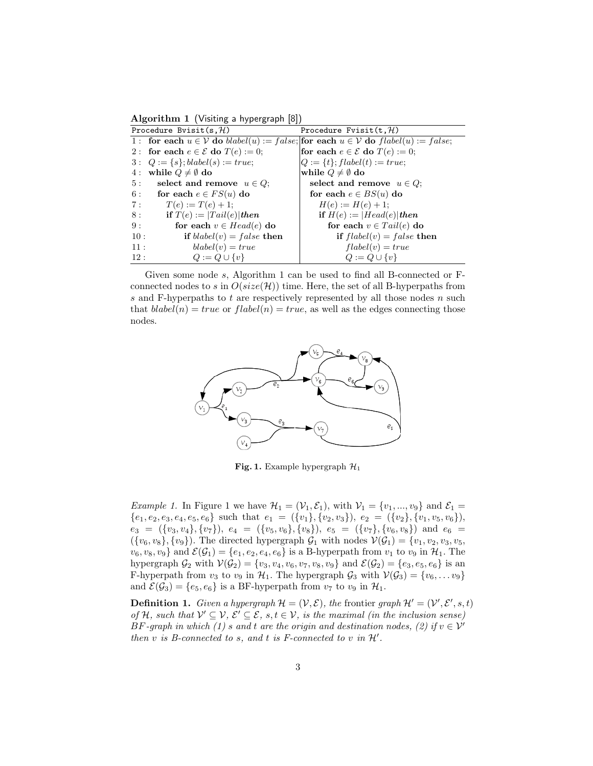Algorithm 1 (Visiting a hypergraph [8])

| Procedure Bvisit(s, $H$ ) |                                                  | Procedure Fvisit $(t, \mathcal{H})$                                                    |
|---------------------------|--------------------------------------------------|----------------------------------------------------------------------------------------|
|                           |                                                  | 1: for each $u \in V$ do blabel(u) := false; for each $u \in V$ do flabel(u) := false; |
|                           | 2: for each $e \in \mathcal{E}$ do $T(e) := 0$ ; | for each $e \in \mathcal{E}$ do $T(e) := 0$ ;                                          |
|                           | $3: Q := \{s\}; black(s) := true;$               | $Q := \{t\}$ ; $flabel(t) := true$ ;                                                   |
|                           | 4: while $Q \neq \emptyset$ do                   | while $Q \neq \emptyset$ do                                                            |
|                           | 5: select and remove $u \in Q$ ;                 | select and remove $u \in Q$ ;                                                          |
|                           | 6: for each $e \in FS(u)$ do                     | for each $e \in BS(u)$ do                                                              |
| 7:                        | $T(e) := T(e) + 1;$                              | $H(e) := H(e) + 1;$                                                                    |
| 8:                        | if $T(e) :=  Tail(e) $ then                      | if $H(e) :=  Head(e) $ then                                                            |
| 9:                        | for each $v \in Head(e)$ do                      | for each $v \in Tail(e)$ do                                                            |
| 10:                       | if $blabel(v) = false$ then                      | if $flabel(v) = false$ then                                                            |
| 11:                       | $blabel(v) = true$                               | $flabel(v) = true$                                                                     |
| 12:                       | $Q := Q \cup \{v\}$                              | $Q := Q \cup \{v\}$                                                                    |

Given some node s, Algorithm 1 can be used to find all B-connected or Fconnected nodes to s in  $O(size(\mathcal{H}))$  time. Here, the set of all B-hyperpaths from s and F-hyperpaths to  $t$  are respectively represented by all those nodes  $n$  such that  $\text{blabel}(n) = \text{true}$  or  $\text{flabel}(n) = \text{true}$ , as well as the edges connecting those nodes.



Fig. 1. Example hypergraph  $\mathcal{H}_1$ 

*Example 1.* In Figure 1 we have  $\mathcal{H}_1 = (\mathcal{V}_1, \mathcal{E}_1)$ , with  $\mathcal{V}_1 = \{v_1, ..., v_9\}$  and  $\mathcal{E}_1 =$  ${e_1, e_2, e_3, e_4, e_5, e_6}$  such that  $e_1 = (\{v_1\}, \{v_2, v_3\}), e_2 = (\{v_2\}, \{v_1, v_5, v_6\}),$  $e_3 = (\{v_3, v_4\}, \{v_7\}), e_4 = (\{v_5, v_6\}, \{v_8\}), e_5 = (\{v_7\}, \{v_6, v_8\})$  and  $e_6 =$  $({v_6, v_8}, {v_9})$ . The directed hypergraph  $\mathcal{G}_1$  with nodes  $\mathcal{V}(\mathcal{G}_1) = {v_1, v_2, v_3, v_5}$ ,  $v_6, v_8, v_9$  and  $\mathcal{E}(\mathcal{G}_1) = \{e_1, e_2, e_4, e_6\}$  is a B-hyperpath from  $v_1$  to  $v_9$  in  $\mathcal{H}_1$ . The hypergraph  $\mathcal{G}_2$  with  $\mathcal{V}(\mathcal{G}_2) = \{v_3, v_4, v_6, v_7, v_8, v_9\}$  and  $\mathcal{E}(\mathcal{G}_2) = \{e_3, e_5, e_6\}$  is an F-hyperpath from  $v_3$  to  $v_9$  in  $\mathcal{H}_1$ . The hypergraph  $\mathcal{G}_3$  with  $\mathcal{V}(\mathcal{G}_3) = \{v_6, \ldots v_9\}$ and  $\mathcal{E}(\mathcal{G}_3) = \{e_5, e_6\}$  is a BF-hyperpath from  $v_7$  to  $v_9$  in  $\mathcal{H}_1$ .

**Definition 1.** Given a hypergraph  $\mathcal{H} = (\mathcal{V}, \mathcal{E})$ , the frontier graph  $\mathcal{H}' = (\mathcal{V}', \mathcal{E}', s, t)$ of H, such that  $V' \subseteq V$ ,  $\mathcal{E}' \subseteq \mathcal{E}$ , s,  $t \in V$ , is the maximal (in the inclusion sense) BF-graph in which (1) s and t are the origin and destination nodes, (2) if  $v \in V'$ then  $v$  is B-connected to  $s$ , and  $t$  is F-connected to  $v$  in  $\mathcal{H}'$ .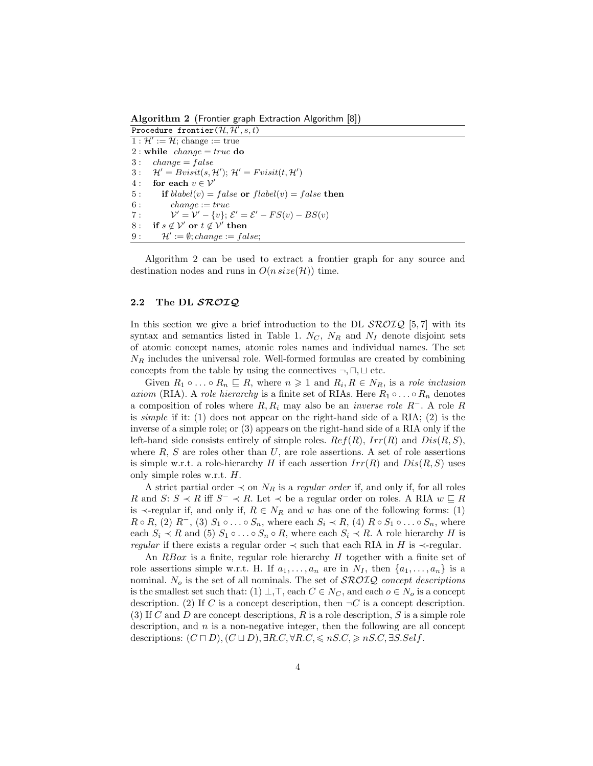Algorithm 2 (Frontier graph Extraction Algorithm [8])

Procedure frontier $(\mathcal{H}, \mathcal{H}', s, t)$  $1: \mathcal{H}' := \mathcal{H}$ ; change := true 2 : while  $change = true$  do  $3: change = false$ 3:  $\mathcal{H}' = Bvisit(s, \mathcal{H}'); \mathcal{H}' = Fvisit(t, \mathcal{H}')$ 4 : for each  $v \in \mathcal{V}'$ 5: if  $blabel(v) = false$  or  $flabel(v) = false$  then  $6: \qquad change := true$  $7$  :  $\mathcal{O}' = \mathcal{V}' - \{v\};$   $\mathcal{E}' = \mathcal{E}' - FS(v) - BS(v)$ 8: if  $s \notin V'$  or  $t \notin V'$  then  $9: \quad \mathcal{H}' := \emptyset; change := false;$ 

Algorithm 2 can be used to extract a frontier graph for any source and destination nodes and runs in  $O(n \text{ size}(\mathcal{H}))$  time.

## 2.2 The DL SROIQ

In this section we give a brief introduction to the DL  $\text{SROTQ}$  [5,7] with its syntax and semantics listed in Table 1.  $N_C$ ,  $N_R$  and  $N_I$  denote disjoint sets of atomic concept names, atomic roles names and individual names. The set  $N_R$  includes the universal role. Well-formed formulas are created by combining concepts from the table by using the connectives  $\neg, \Box, \Box$  etc.

Given  $R_1 \circ \ldots \circ R_n \sqsubseteq R$ , where  $n \geq 1$  and  $R_i, R \in N_R$ , is a role inclusion axiom (RIA). A role hierarchy is a finite set of RIAs. Here  $R_1 \circ \ldots \circ R_n$  denotes a composition of roles where  $R, R_i$  may also be an *inverse role*  $R^-$ . A role R is simple if it: (1) does not appear on the right-hand side of a RIA; (2) is the inverse of a simple role; or (3) appears on the right-hand side of a RIA only if the left-hand side consists entirely of simple roles.  $Ref(R)$ ,  $Irr(R)$  and  $Dis(R, S)$ , where  $R$ ,  $S$  are roles other than  $U$ , are role assertions. A set of role assertions is simple w.r.t. a role-hierarchy H if each assertion  $Irr(R)$  and  $Dis(R, S)$  uses only simple roles w.r.t. H.

A strict partial order  $\prec$  on  $N_R$  is a *regular order* if, and only if, for all roles R and S:  $S \prec R$  iff  $S^- \prec R$ . Let  $\prec$  be a regular order on roles. A RIA  $w \sqsubseteq R$ is  $\prec$ -regular if, and only if,  $R \in N_R$  and w has one of the following forms: (1)  $R \circ R$ , (2)  $R^-$ , (3)  $S_1 \circ \ldots \circ S_n$ , where each  $S_i \prec R$ , (4)  $R \circ S_1 \circ \ldots \circ S_n$ , where each  $S_i \prec R$  and (5)  $S_1 \circ \ldots \circ S_n \circ R$ , where each  $S_i \prec R$ . A role hierarchy H is regular if there exists a regular order  $\prec$  such that each RIA in H is  $\prec$ -regular.

An RBox is a finite, regular role hierarchy H together with a finite set of role assertions simple w.r.t. H. If  $a_1, \ldots, a_n$  are in  $N_I$ , then  $\{a_1, \ldots, a_n\}$  is a nominal.  $N_o$  is the set of all nominals. The set of  $\mathcal{SROIQ}$  concept descriptions is the smallest set such that:  $(1) \perp$ ,  $\top$ , each  $C \in N_C$ , and each  $o \in N_o$  is a concept description. (2) If C is a concept description, then  $\neg C$  is a concept description. (3) If C and D are concept descriptions, R is a role description, S is a simple role description, and  $n$  is a non-negative integer, then the following are all concept descriptions:  $(C \sqcap D)$ ,  $(C \sqcup D)$ ,  $\exists R.C, \forall R.C \leq nS.C \geq nS.C$ ,  $\exists S.Self$ .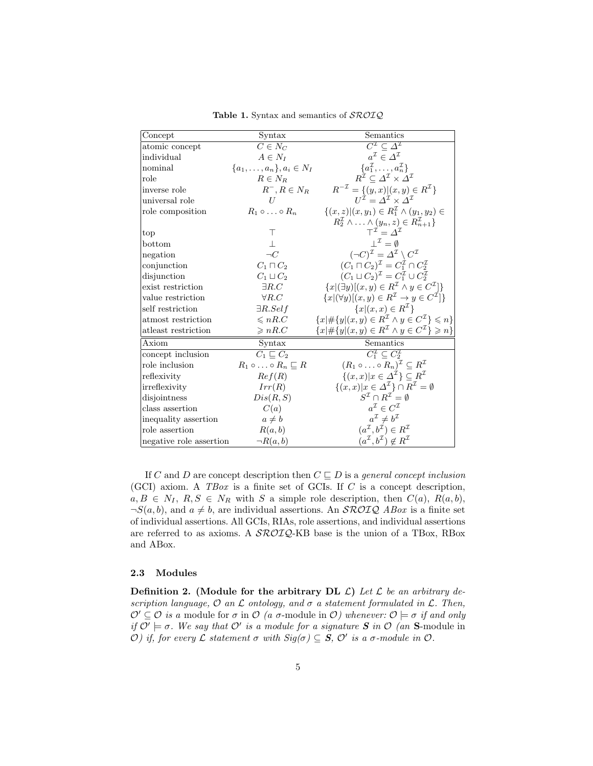| Concept                 | Syntax                                   | Semantics                                                                        |
|-------------------------|------------------------------------------|----------------------------------------------------------------------------------|
| atomic concept          | $C \in N_C$                              | $C^{\mathcal{I}} \subseteq \Delta^{\mathcal{I}}$                                 |
| individual              | $A \in N_I$                              | $a^{\mathcal{I}} \in \Lambda^{\mathcal{I}}$                                      |
| nominal                 | $\{a_1, \ldots, a_n\}, a_i \in N_I$      | $\{a_1^\mathcal{I},\ldots,a_n^\mathcal{I}\}\$                                    |
| role                    | $R \in N_R$                              | $R^{\mathcal{I}} \subset \varDelta^{\mathcal{I}} \times \varDelta^{\mathcal{I}}$ |
| inverse role            | $R^-, R \in N_R$                         | $R^{-\mathcal{I}} = \{(y, x)   (x, y) \in R^{\mathcal{I}}\}\$                    |
| universal role          | H                                        | $U^{\mathcal{I}} = \Lambda^{\mathcal{I}} \times \Lambda^{\mathcal{I}}$           |
| role composition        | $R_1 \circ \ldots \circ R_n$             | $\{(x, z)   (x, y_1) \in R_1^{\mathcal{I}} \wedge (y_1, y_2) \in$                |
|                         |                                          | $R_2^{\mathcal{I}} \wedge \ldots \wedge (y_n, z) \in R_{n+1}^{\mathcal{I}}\}$    |
| top                     | Т                                        | $T^{\mathcal{I}} - \Lambda^{\mathcal{I}}$                                        |
| bottom                  |                                          | $\perp^{\mathcal{I}} = \emptyset$                                                |
| negation                | $\neg C$                                 | $(\neg C)^{\mathcal{I}} = \Delta^{\mathcal{I}} \setminus C^{\mathcal{I}}$        |
| conjunction             | $C_1 \sqcap C_2$                         | $(C_1 \sqcap C_2)^{\mathcal{I}} = C_1^{\mathcal{I}} \cap C_2^{\mathcal{I}}$      |
| disjunction             | $C_1 \sqcup C_2$                         | $(C_1 \sqcup C_2)^{\mathcal{I}} = C_1^{\mathcal{I}} \cup C_2^{\mathcal{I}}$      |
| exist restriction       | $\exists R.C$                            | ${x   (\exists y)[(x, y) \in R^{\mathcal{I}} \land y \in C^{\mathcal{I}}]}$      |
| value restriction       | $\forall R.C$                            | ${x   (\forall y)[(x, y) \in R^\mathcal{I} \rightarrow y \in C^\mathcal{I}] }$   |
| self restriction        | $\exists R. Self$                        | ${x   (x, x) \in R^{\mathcal{I}}\}$                                              |
| atmost restriction      | $\leqslant nR.C$                         | ${x \neq {y   (x, y) \in R^{\mathcal{I}}} \land y \in C^{\mathcal{I}}}{\leq n}$  |
| atleast restriction     | $\geqslant nR.C$                         | ${x \neq {y   (x, y) \in R^{\mathcal{I}}} \land y \in C^{\mathcal{I}} \geq n}$   |
| Axiom                   | Syntax                                   | Semantics                                                                        |
| concept inclusion       | $C_1 \sqsubseteq C_2$                    | $C_1^{\mathcal{I}} \subseteq C_2^{\mathcal{I}}$                                  |
| role inclusion          | $R_1 \circ \ldots \circ R_n \sqsubset R$ | $(R_1 \circ \ldots \circ R_n)^{\mathcal{I}} \subseteq R^{\mathcal{I}}$           |
| reflexivity             | Ref(R)                                   | $\{(x,x) x\in\Delta^{\mathcal{I}}\}\subseteq R^{\mathcal{I}}$                    |
| irreflexivity           | Irr(R)                                   | $\{(x, x) x \in \Delta^{\mathcal{I}}\}\cap R^{\mathcal{I}}=\emptyset$            |
| disjointness            | Dis(R, S)                                | $S^{\mathcal{I}} \cap B^{\mathcal{I}} = \emptyset$                               |
| class assertion         | C(a)                                     | $a^{\mathcal{I}} \in C^{\mathcal{I}}$                                            |
| inequality assertion    | $a \neq b$                               | $a^{\mathcal{I}} \neq b^{\mathcal{I}}$                                           |
| role assertion          | R(a, b)                                  | $(a^{\mathcal{I}}, b^{\mathcal{I}}) \in R^{\mathcal{I}}$                         |
| negative role assertion | $\neg R(a,b)$                            | $(a^{\mathcal{I}}, b^{\mathcal{I}}) \notin R^{\mathcal{I}}$                      |

Table 1. Syntax and semantics of  $\mathcal{SROIQ}$ 

If C and D are concept description then  $C \sqsubseteq D$  is a *general concept inclusion* (GCI) axiom. A  $TBox$  is a finite set of GCIs. If  $C$  is a concept description,  $a, B \in N_I, R, S \in N_R$  with S a simple role description, then  $C(a)$ ,  $R(a, b)$ ,  $\neg S(a, b)$ , and  $a \neq b$ , are individual assertions. An *SROIQ ABox* is a finite set of individual assertions. All GCIs, RIAs, role assertions, and individual assertions are referred to as axioms. A  $\mathcal{SROIQ}$ -KB base is the union of a TBox, RBox and ABox.

#### 2.3 Modules

**Definition 2.** (Module for the arbitrary DL  $\mathcal{L}$ ) Let  $\mathcal{L}$  be an arbitrary description language,  $\mathcal O$  an  $\mathcal L$  ontology, and  $\sigma$  a statement formulated in  $\mathcal L$ . Then,  $\mathcal{O}' \subseteq \mathcal{O}$  is a module for  $\sigma$  in  $\mathcal{O}$  (a  $\sigma$ -module in  $\mathcal{O}$ ) whenever:  $\mathcal{O} \models \sigma$  if and only if  $\mathcal{O}' \models \sigma$ . We say that  $\mathcal{O}'$  is a module for a signature S in  $\mathcal{O}$  (an S-module in  $\mathcal{O}$ ) if, for every  $\mathcal L$  statement  $\sigma$  with  $Sig(\sigma) \subseteq S$ ,  $\mathcal O'$  is a σ-module in  $\mathcal O$ .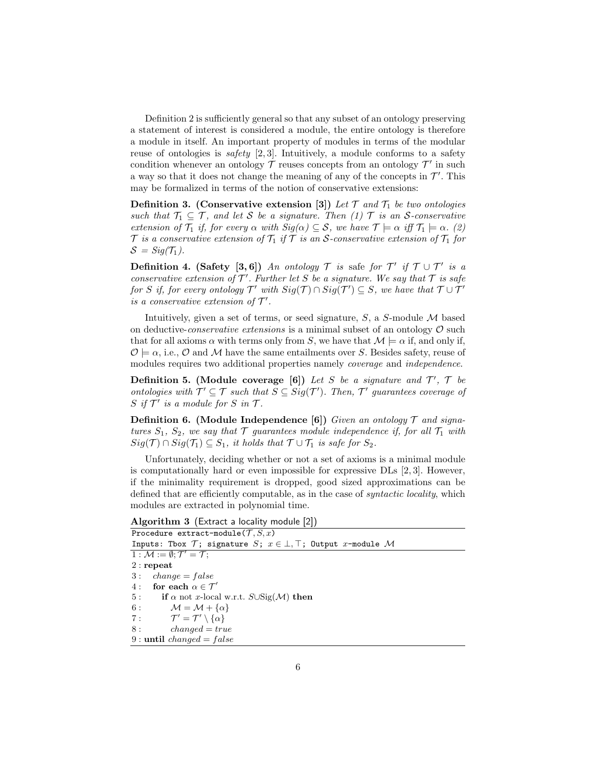Definition 2 is sufficiently general so that any subset of an ontology preserving a statement of interest is considered a module, the entire ontology is therefore a module in itself. An important property of modules in terms of the modular reuse of ontologies is *safety* [2, 3]. Intuitively, a module conforms to a safety condition whenever an ontology  $\mathcal T$  reuses concepts from an ontology  $\mathcal T'$  in such a way so that it does not change the meaning of any of the concepts in  $\mathcal{T}'$ . This may be formalized in terms of the notion of conservative extensions:

**Definition 3.** (Conservative extension [3]) Let  $\mathcal{T}$  and  $\mathcal{T}_1$  be two ontologies such that  $\mathcal{T}_1 \subseteq \mathcal{T}$ , and let S be a signature. Then (1)  $\mathcal{T}$  is an S-conservative extension of  $\mathcal{T}_1$  if, for every  $\alpha$  with  $\text{Sig}(\alpha) \subseteq \mathcal{S}$ , we have  $\mathcal{T} \models \alpha$  iff  $\mathcal{T}_1 \models \alpha$ . (2)  $\mathcal T$  is a conservative extension of  $\mathcal T_1$  if  $\mathcal T$  is an S-conservative extension of  $\mathcal T_1$  for  $S = Sig(T_1)$ .

**Definition 4.** (Safety [3,6]) An ontology  $\mathcal{T}$  is safe for  $\mathcal{T}'$  if  $\mathcal{T} \cup \mathcal{T}'$  is a conservative extension of  $\mathcal{T}'$ . Further let S be a signature. We say that  $\mathcal T$  is safe for S if, for every ontology  $\mathcal{T}'$  with  $Sig(\mathcal{T}) \cap Sig(\mathcal{T}') \subseteq S$ , we have that  $\mathcal{T} \cup \mathcal{T}'$ is a conservative extension of  $\mathcal{T}'$ .

Intuitively, given a set of terms, or seed signature,  $S$ , a  $S$ -module  $M$  based on deductive-conservative extensions is a minimal subset of an ontology  $\mathcal O$  such that for all axioms  $\alpha$  with terms only from S, we have that  $\mathcal{M} \models \alpha$  if, and only if,  $\mathcal{O} \models \alpha$ , i.e.,  $\mathcal{O}$  and M have the same entailments over S. Besides safety, reuse of modules requires two additional properties namely coverage and independence.

Definition 5. (Module coverage [6]) Let S be a signature and  $\mathcal{T}'$ ,  $\mathcal{T}$  be ontologies with  $\mathcal{T}' \subseteq \mathcal{T}$  such that  $S \subseteq Sig(\mathcal{T}')$ . Then,  $\mathcal{T}'$  guarantees coverage of S if  $\mathcal{T}'$  is a module for S in  $\mathcal{T}$ .

**Definition 6.** (Module Independence [6]) Given an ontology  $\mathcal{T}$  and signatures  $S_1$ ,  $S_2$ , we say that  $\mathcal T$  guarantees module independence if, for all  $\mathcal T_1$  with  $Sig(\mathcal{T}) \cap Sig(\mathcal{T}_1) \subseteq S_1$ , it holds that  $\mathcal{T} \cup \mathcal{T}_1$  is safe for  $S_2$ .

Unfortunately, deciding whether or not a set of axioms is a minimal module is computationally hard or even impossible for expressive DLs [2, 3]. However, if the minimality requirement is dropped, good sized approximations can be defined that are efficiently computable, as in the case of syntactic locality, which modules are extracted in polynomial time.

Algorithm 3 (Extract a locality module [2])

| Procedure extract-module $(\mathcal{T}, S, x)$                                |  |  |  |  |
|-------------------------------------------------------------------------------|--|--|--|--|
| Inputs: Tbox $\mathcal{T}$ ; signature S; $x \in \bot$ , T; Output x-module M |  |  |  |  |
| 1 : $M := \emptyset; \mathcal{T}' = \mathcal{T};$                             |  |  |  |  |
| $2:$ repeat                                                                   |  |  |  |  |
| $3: change = false$                                                           |  |  |  |  |
| 4: for each $\alpha \in \mathcal{T}'$                                         |  |  |  |  |
| 5: if $\alpha$ not x-local w.r.t. $S \cup \text{Sig}(\mathcal{M})$ then       |  |  |  |  |
| 6: $\mathcal{M} = \mathcal{M} + {\alpha}$                                     |  |  |  |  |
| 7: $\mathcal{T}' = \mathcal{T}' \setminus {\alpha}$                           |  |  |  |  |
| 8:<br>$changed = true$                                                        |  |  |  |  |
| 9 : until <i>changed</i> = $false$                                            |  |  |  |  |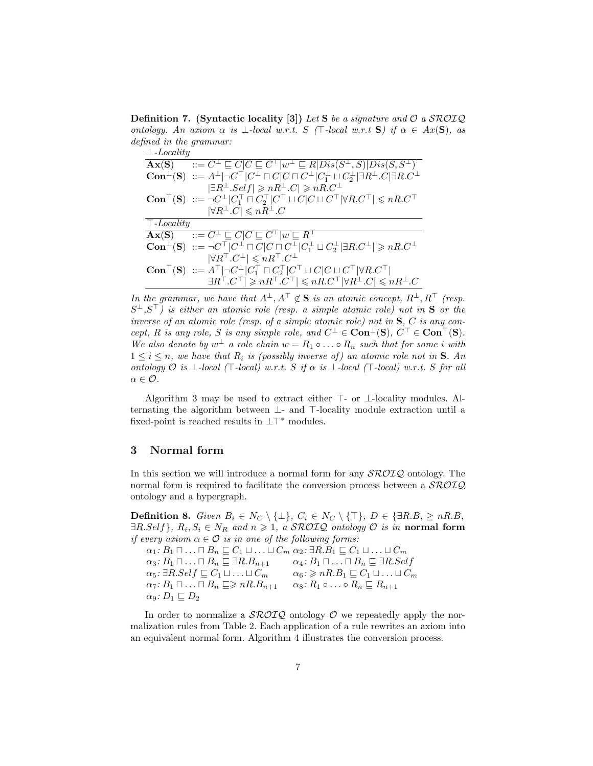**Definition 7.** (Syntactic locality [3]) Let S be a signature and  $\mathcal{O}$  a SROIQ ontology. An axiom  $\alpha$  is  $\bot$ -local w.r.t. S ( $\top$ -local w.r.t S) if  $\alpha \in Ax(S)$ , as defined in the grammar:

| $\perp$ -Locality |                                                                                                                                                                                                                  |  |
|-------------------|------------------------------------------------------------------------------------------------------------------------------------------------------------------------------------------------------------------|--|
|                   | $\mathbf{A}\mathbf{x}(\mathbf{S})$ $::= C^{\perp} \sqsubseteq C   C \sqsubseteq C^{\top}   w^{\perp} \sqsubseteq R   Dis(S^{\perp}, S)   Dis(S, S^{\perp})$                                                      |  |
|                   | <b>Con</b> <sup><math>\perp</math></sup> ( <b>S</b> ) $::= A^{\perp}   \neg C^{\top}   C^{\perp} \sqcap C   C \sqcap C^{\perp}   C_1^{\perp} \sqcup C_2^{\perp}   \exists R^{\perp} . C   \exists R . C^{\perp}$ |  |
|                   | $ \exists R^{\perp}.Self  \geq nR^{\perp}.C  \geq nR.C^{\perp}$                                                                                                                                                  |  |
|                   | <b>Con</b> <sup>T</sup> ( <b>S</b> ) ::= $\neg C^{\perp} C_1^{\top} \sqcap C_2^{\top} C^{\top} \sqcup C C \sqcup C^{\top} \forall R.C^{\top} \leq nR.C^{\top}$                                                   |  |
|                   | $ \forall R^{\perp}.C  \leqslant nR^{\perp}.C$                                                                                                                                                                   |  |
| $\top$ -Locality  |                                                                                                                                                                                                                  |  |
|                   |                                                                                                                                                                                                                  |  |
|                   | $\overline{\mathbf{A}\mathbf{x}(\mathbf{S})}$ $::= C^{\perp} \sqsubseteq C   C \sqsubseteq C^{\top}   w \sqsubseteq R^{\top}$                                                                                    |  |
|                   | $\mathbf{Con}^{\perp}(\mathbf{S}) ::= \neg C^{\top}   C^{\perp} \sqcap C   C \sqcap C^{\perp}   C^{\perp}_{1} \sqcup C^{\perp}_{2}   \exists R.C^{\perp}   \geq nR.C^{\perp}$                                    |  |
|                   | $ \forall R^{\top}.C^{\perp}  \leqslant nR^{\top}.C^{\perp}$                                                                                                                                                     |  |
|                   | $\text{Con}^{\top}(\mathbf{S})$ ::= $A^{\top}$ $\neg C^{\perp}$ $ C_1^{\top} \sqcap C_2^{\top}   C^{\top} \sqcup C   C \sqcup C^{\top}   \forall R.C^{\top}  $                                                   |  |

In the grammar, we have that  $A^{\perp}, A^{\top} \notin \mathbf{S}$  is an atomic concept,  $R^{\perp}, R^{\top}$  (resp.  $S^{\perp},S^{\top}$ ) is either an atomic role (resp. a simple atomic role) not in **S** or the inverse of an atomic role (resp. of a simple atomic role) not in  $S$ ,  $C$  is any concept, R is any role, S is any simple role, and  $C^{\perp} \in \text{Con}^{\perp}(\mathbf{S}), C^{\top} \in \text{Con}^{\top}(\mathbf{S}).$ We also denote by  $w^{\perp}$  a role chain  $w = R_1 \circ \ldots \circ R_n$  such that for some i with  $1 \leq i \leq n$ , we have that  $R_i$  is (possibly inverse of) an atomic role not in **S**. An ontology O is  $\bot$ -local ( $\top$ -local) w.r.t. S if  $\alpha$  is  $\bot$ -local ( $\top$ -local) w.r.t. S for all  $\alpha \in \mathcal{O}$ .

Algorithm 3 may be used to extract either  $\top$ - or  $\bot$ -locality modules. Alternating the algorithm between  $\perp$ - and  $\top$ -locality module extraction until a fixed-point is reached results in  $\perp\top^*$  modules.

#### 3 Normal form

In this section we will introduce a normal form for any  $\mathcal{SROLQ}$  ontology. The normal form is required to facilitate the conversion process between a  $\mathcal{SROLQ}$ ontology and a hypergraph.

**Definition 8.** Given  $B_i \in N_C \setminus \{\perp\}, C_i \in N_C \setminus \{\top\}, D \in \{\exists R.B, \geq nR.B,$  $\exists R.Self\}, R_i, S_i \in N_R$  and  $n \geqslant 1$ , a SROIQ ontology  $\mathcal O$  is in normal form if every axiom  $\alpha \in \mathcal{O}$  is in one of the following forms:  $\alpha_1: B_1 \sqcap \ldots \sqcap B_n \sqsubseteq C_1 \sqcup \ldots \sqcup C_m \alpha_2$ :  $\exists R.B_1 \sqsubseteq C_1 \sqcup \ldots \sqcup C_m$  $\alpha_3: B_1 \sqcap \ldots \sqcap B_n \sqsubseteq \exists R.B_{n+1} \qquad \alpha_4: B_1 \sqcap \ldots \sqcap B_n \sqsubseteq \exists R.Self$ 

 $\alpha_5: \exists R. Self \sqsubseteq C_1 \sqcup \ldots \sqcup C_m \qquad \alpha_6: \geqslant nR.B_1 \sqsubseteq C_1 \sqcup \ldots \sqcup C_m$  $\alpha_7: B_1 \sqcap \ldots \sqcap B_n \sqsubseteq \geqslant nR.B_{n+1} \quad \alpha_8: R_1 \circ \ldots \circ R_n \sqsubseteq R_{n+1}$  $\alpha_9: D_1 \sqsubseteq D_2$ 

In order to normalize a  $\mathcal{SROIQ}$  ontology  $\mathcal O$  we repeatedly apply the normalization rules from Table 2. Each application of a rule rewrites an axiom into an equivalent normal form. Algorithm 4 illustrates the conversion process.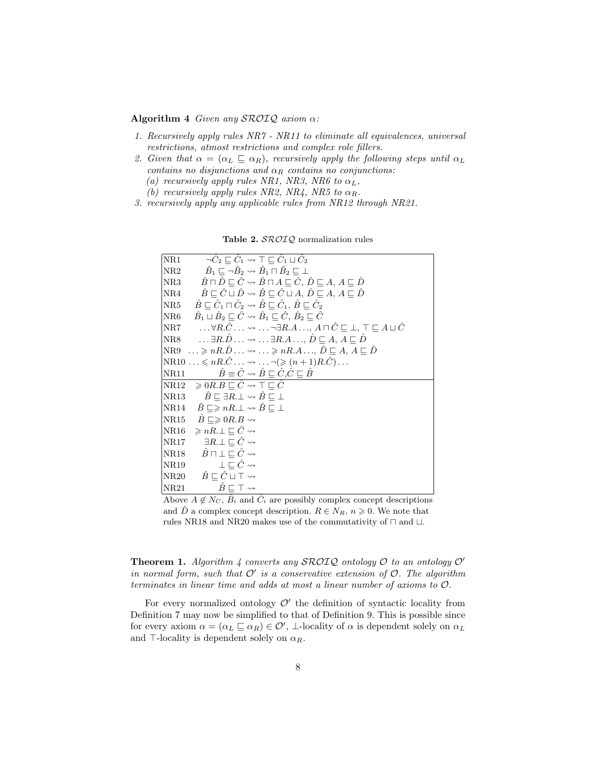Algorithm 4 Given any  $\mathcal{SROIQ}$  axiom  $\alpha$ :

- 1. Recursively apply rules NR7 NR11 to eliminate all equivalences, universal restrictions, atmost restrictions and complex role fillers.
- 2. Given that  $\alpha = (\alpha_L \sqsubseteq \alpha_R)$ , recursively apply the following steps until  $\alpha_L$ contains no disjunctions and  $\alpha_R$  contains no conjunctions: (a) recursively apply rules NR1, NR3, NR6 to  $\alpha_L$ ,
	- (b) recursively apply rules NR2, NR4, NR5 to  $\alpha_R$ .
- 3. recursively apply any applicable rules from NR12 through NR21.

| $\overline{\rm NR1}$ | $\neg \hat{C}_2 \sqsubset \hat{C}_1 \leadsto \top \sqsubset \hat{C}_1 \sqcup \hat{C}_2$                                                         |
|----------------------|-------------------------------------------------------------------------------------------------------------------------------------------------|
| $ {\rm NR2} $        | $\hat{B}_1 \sqsubset \neg \hat{B}_2 \leadsto \hat{B}_1 \sqcap \hat{B}_2 \sqsubset \bot$                                                         |
| $ {\rm NR3} $        | $\hat{B} \sqcap \hat{D} \sqsubseteq \hat{C} \leadsto \hat{B} \sqcap A \sqsubseteq \hat{C}, \hat{D} \sqsubseteq A, A \sqsubseteq \hat{D}$        |
| $ {\rm NR4} $        | $\hat{B} \sqsubset \hat{C} \sqcup \hat{D} \leadsto \hat{B} \sqsubset \hat{C} \sqcup A, \hat{D} \sqsubset A, A \sqsubset \hat{D}$                |
| $_{\rm NR5}$         | $\hat{B} \sqsubseteq \hat{C}_1 \sqcap \hat{C}_2 \leadsto \hat{B} \sqsubseteq \hat{C}_1, \, \hat{B} \sqsubseteq \hat{C}_2$                       |
| $ {\rm NR}6 $        | $\hat{B}_1 \sqcup \hat{B}_2 \sqsubseteq \hat{C} \leadsto \hat{B}_1 \sqsubseteq \hat{C}, \, \hat{B}_2 \sqsubseteq \hat{C}$                       |
| $\rm{NR}7$           | $\ldots$ $\forall R.\hat{C}\ldots \leadsto \ldots \neg \exists R.A\ldots, A \sqcap \hat{C}\sqsubseteq \bot , \top \sqsubseteq A \sqcup \hat{C}$ |
|                      | $NRS$ $\exists R.\hat{D} \dots \rightsquigarrow \dots \exists R.A \dots, \hat{D} \sqsubseteq A, A \sqsubseteq \hat{D}$                          |
|                      | $NRS \dots \geqslant nR.\hat{D} \dots \rightsquigarrow \dots \geqslant nR.A \dots, \hat{D} \sqsubseteq A, A \sqsubseteq \hat{D}$                |
|                      | $N\text{R}10 \ldots \leqslant nR.\hat{C} \ldots \rightsquigarrow \ldots \neg (\geqslant (n+1)R.\hat{C}) \ldots$                                 |
| NR11                 | $\hat{B} \equiv \hat{C} \leadsto \hat{B} \sqsubset \hat{C}, \hat{C} \sqsubset \hat{B}$                                                          |
|                      | $\vert \text{NR12} \quad \geqslant 0$ $R.B \sqsubset \hat{C} \leadsto \top \sqsubset \hat{C}$                                                   |
|                      | $\overline{\text{NR}}13 \qquad \hat{B} \sqsubseteq \exists R \bot \leadsto \hat{B} \sqsubseteq \bot$                                            |
|                      | $\overline{DR14}$ $\overline{B} \subseteq \geqslant nR \perp \rightsquigarrow \overline{B} \sqsubseteq \perp$                                   |
|                      | $\vert \text{NR15} \quad \hat{B} \sqsubseteq \geqslant 0R.B \leadsto$                                                                           |
|                      | $\begin{array}{lll} \ \mathrm{NR16} &\geqslant nR. \bot \sqsubset \hat{C} \leadsto \end{array}$                                                 |
| NR17                 | $\exists R.\bot \sqsubseteq \hat{C} \leadsto$                                                                                                   |
|                      | $\vert$ NR18 $\hat{B} \sqcap \bot \sqsubseteq \hat{C} \leadsto$                                                                                 |
| NR19                 | $\perp \Box \hat{C} \rightsquigarrow$                                                                                                           |
|                      | $N\mathrm{R}20 \qquad \hat{B} \sqsubset \hat{C} \sqcup \top \leadsto$                                                                           |
| NR21                 | $\hat{B} \sqsubset \top \leadsto$                                                                                                               |

Table 2. SROIQ normalization rules

Above  $A \notin N_C$ ,  $\hat{B}_i$  and  $\hat{C}_i$  are possibly complex concept descriptions and  $\hat{D}$  a complex concept description.  $R \in N_R$ ,  $n \geqslant 0$ . We note that rules NR18 and NR20 makes use of the commutativity of  $\sqcap$  and  $\sqcup.$ 

**Theorem 1.** Algorithm 4 converts any SROIQ ontology  $\mathcal{O}'$  to an ontology  $\mathcal{O}'$ in normal form, such that  $\mathcal{O}'$  is a conservative extension of  $\mathcal{O}$ . The algorithm terminates in linear time and adds at most a linear number of axioms to O.

For every normalized ontology  $\mathcal{O}'$  the definition of syntactic locality from Definition 7 may now be simplified to that of Definition 9. This is possible since for every axiom  $\alpha = (\alpha_L \sqsubseteq \alpha_R) \in \mathcal{O}'$ ,  $\perp$ -locality of  $\alpha$  is dependent solely on  $\alpha_L$ and  $\top$ -locality is dependent solely on  $\alpha_R$ .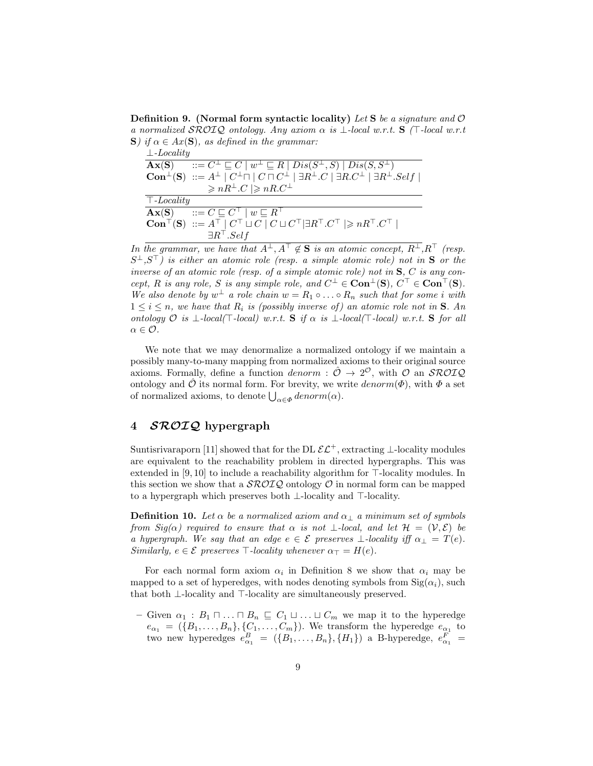**Definition 9.** (Normal form syntactic locality) Let S be a signature and  $\mathcal{O}$ a normalized  $\mathcal{SROIQ}$  ontology. Any axiom  $\alpha$  is  $\bot$ -local w.r.t. S ( $\top$ -local w.r.t S) if  $\alpha \in Ax(S)$ , as defined in the grammar:

| $\perp$ -Locality |                                                                                                                                                                   |
|-------------------|-------------------------------------------------------------------------------------------------------------------------------------------------------------------|
| $A\mathbf{x}(S)$  | $\overline{C} = C^{\perp} \sqsubseteq C \mid w^{\perp} \sqsubseteq R \mid Dis(S^{\perp}, S) \mid Dis(S, S^{\perp})$                                               |
|                   | $\mathbf{Con}^{\perp}(\mathbf{S}) ::= A^{\perp}   C^{\perp} \Box   C \Box C^{\perp}   \exists R^{\perp} . C   \exists R . C^{\perp}   \exists R^{\perp} . Self  $ |
|                   | $\geqslant nR^{\perp}.C \geqslant nR.C^{\perp}$                                                                                                                   |
| $\top$ -Locality  |                                                                                                                                                                   |
|                   | $\mathbf{A}\mathbf{x}(\mathbf{S})$ $::= C \sqsubseteq C^{\top}   w \sqsubseteq R^{\top}$                                                                          |
|                   | $\text{Con}^{\top}(\mathbf{S}) ::= A^{\top}   C^{\top} \sqcup C   C \sqcup C^{\top}   \exists R^{\top} . C^{\top}   \geqslant nR^{\top} . C^{\top}  $             |
|                   | $\exists R^{\top}.Self$                                                                                                                                           |

In the grammar, we have that  $A^{\perp}, A^{\top} \notin \mathbf{S}$  is an atomic concept,  $R^{\perp}, R^{\top}$  (resp.  $S^{\perp}, S^{\top}$ ) is either an atomic role (resp. a simple atomic role) not in **S** or the inverse of an atomic role (resp. of a simple atomic role) not in  $S$ ,  $C$  is any concept, R is any role, S is any simple role, and  $C^{\perp} \in \text{Con}^{\perp}(\mathbf{S}), C^{\top} \in \text{Con}^{\top}(\mathbf{S}).$ We also denote by  $w^{\perp}$  a role chain  $w = R_1 \circ \ldots \circ R_n$  such that for some i with  $1 \leq i \leq n$ , we have that  $R_i$  is (possibly inverse of) an atomic role not in **S**. An ontology  $\mathcal O$  is  $\bot$ -local( $\top$ -local) w.r.t. S if  $\alpha$  is  $\bot$ -local( $\top$ -local) w.r.t. S for all  $\alpha \in \mathcal{O}$ .

We note that we may denormalize a normalized ontology if we maintain a possibly many-to-many mapping from normalized axioms to their original source axioms. Formally, define a function *denorm* :  $\hat{\mathcal{O}} \to 2^{\mathcal{O}}$ , with  $\mathcal{O}$  an *SROIQ* ontology and  $\hat{\mathcal{O}}$  its normal form. For brevity, we write  $denorm(\Phi)$ , with  $\Phi$  a set of normalized axioms, to denote  $\bigcup_{\alpha \in \Phi} \text{denorm}(\alpha)$ .

# 4 *SROIQ* hypergraph

Suntisrivaraporn [11] showed that for the DL  $\mathcal{EL}^+$ , extracting ⊥-locality modules are equivalent to the reachability problem in directed hypergraphs. This was extended in  $[9, 10]$  to include a reachability algorithm for  $\top$ -locality modules. In this section we show that a  $\mathcal{SROIQ}$  ontology  $\mathcal O$  in normal form can be mapped to a hypergraph which preserves both  $\perp$ -locality and  $\top$ -locality.

**Definition 10.** Let  $\alpha$  be a normalized axiom and  $\alpha_{\perp}$  a minimum set of symbols from  $Sig(\alpha)$  required to ensure that  $\alpha$  is not  $\bot$ -local, and let  $\mathcal{H} = (\mathcal{V}, \mathcal{E})$  be a hypergraph. We say that an edge  $e \in \mathcal{E}$  preserves  $\bot$ -locality iff  $\alpha_{\bot} = T(e)$ . Similarly,  $e \in \mathcal{E}$  preserves  $\top$ -locality whenever  $\alpha_{\top} = H(e)$ .

For each normal form axiom  $\alpha_i$  in Definition 8 we show that  $\alpha_i$  may be mapped to a set of hyperedges, with nodes denoting symbols from  $\text{Sig}(\alpha_i)$ , such that both  $\bot$ -locality and  $\top$ -locality are simultaneously preserved.

– Given  $\alpha_1 : B_1 \sqcap ... \sqcap B_n \sqsubseteq C_1 \sqcup ... \sqcup C_m$  we map it to the hyperedge  $e_{\alpha_1} = (\{B_1, \ldots, B_n\}, \{C_1, \ldots, C_m\})$ . We transform the hyperedge  $e_{\alpha_1}$  to two new hyperedges  $e_{\alpha_1}^B = (\{B_1, \ldots, B_n\}, \{H_1\})$  a B-hyperedge,  $e_{\alpha_1}^F =$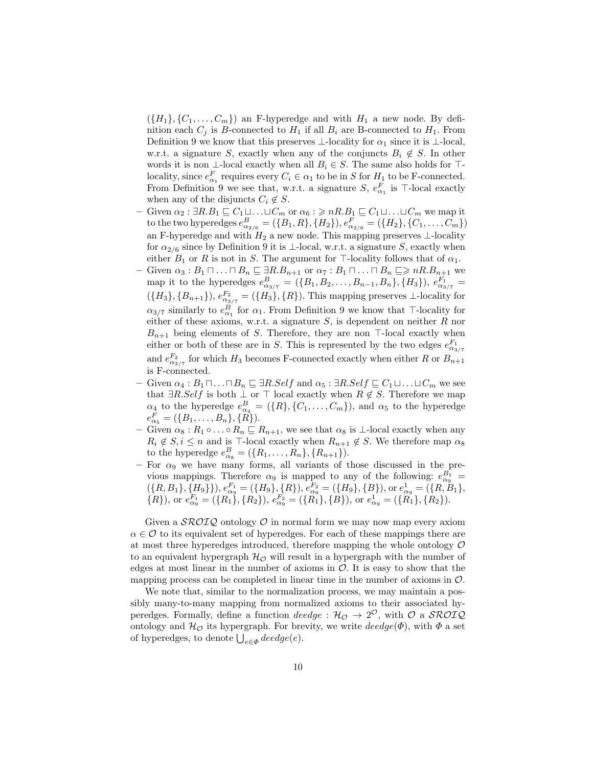$(\{H_1\}, \{C_1, \ldots, C_m\})$  an F-hyperedge and with  $H_1$  a new node. By definition each  $C_j$  is B-connected to  $H_1$  if all  $B_i$  are B-connected to  $H_1$ . From Definition 9 we know that this preserves  $\bot$ -locality for  $\alpha_1$  since it is  $\bot$ -local, w.r.t. a signature S, exactly when any of the conjuncts  $B_i \notin S$ . In other words it is non ⊥-local exactly when all  $B_i \in S$ . The same also holds for  $\top$ locality, since  $e_{\alpha_1}^F$  requires every  $C_i \in \alpha_1$  to be in S for  $H_1$  to be F-connected. From Definition 9 we see that, w.r.t. a signature  $S, e_{\alpha_1}^F$  is  $\top$ -local exactly when any of the disjuncts  $C_i \notin S$ .

- Given  $\alpha_2 : \exists R.B_1 \sqsubseteq C_1 \sqcup \ldots \sqcup C_m$  or  $\alpha_6 : \geqslant nR.B_1 \sqsubseteq C_1 \sqcup \ldots \sqcup C_m$  we map it to the two hyperedges  $e_{\alpha_{2/6}}^B = (\{B_1, R\}, \{H_2\}), e_{\alpha_{2/6}}^F = (\{H_2\}, \{C_1, \ldots, C_m\})$ an F-hyperedge and with  $H_2$  a new node. This mapping preserves ⊥-locality for  $\alpha_{2/6}$  since by Definition 9 it is  $\perp$ -local, w.r.t. a signature S, exactly when either  $B_1$  or R is not in S. The argument for  $\top$ -locality follows that of  $\alpha_1$ .
- Given  $\alpha_3 : B_1 \sqcap \ldots \sqcap B_n \sqsubseteq \exists R.B_{n+1}$  or  $\alpha_7 : B_1 \sqcap \ldots \sqcap B_n \sqsubseteq \geq nR.B_{n+1}$  we map it to the hyperedges  $e_{\alpha_{3/7}}^B = (\{B_1, B_2, \ldots, B_{n-1}, B_n\}, \{H_3\}), e_{\alpha_{3/7}}^{F_1} =$  $({H_3}, {B_{n+1}}), e_{\alpha_{3/7}}^{F_2} = ({H_3}, {R}).$  This mapping preserves ⊥-locality for  $\alpha_{3/7}$  similarly to  $e_{\alpha_1}^B$  for  $\alpha_1$ . From Definition 9 we know that  $\top$ -locality for either of these axioms, w.r.t. a signature  $S$ , is dependent on neither  $R$  nor  $B_{n+1}$  being elements of S. Therefore, they are non T-local exactly when either or both of these are in S. This is represented by the two edges  $e_{\alpha_{3/7}}^{F_1}$ and  $e_{\alpha_{3/7}}^{F_2}$  for which  $H_3$  becomes F-connected exactly when either R or  $B_{n+1}$ is F-connected.
- Given  $\alpha_4 : B_1 \sqcap \ldots \sqcap B_n \sqsubseteq \exists R.Self$  and  $\alpha_5 : \exists R.Self \sqsubseteq C_1 \sqcup \ldots \sqcup C_m$  we see that  $\exists R.Self$  is both ⊥ or ⊤ local exactly when  $R \notin S$ . Therefore we map that  $\exists R. Self$  is both  $\bot$  or  $\top$  local exactly when  $R \notin S$ . Therefore we map  $\alpha_4$  to the hyperedge  $e_{\alpha_4}^B = (\{R\}, \{C_1, \ldots, C_m\})$ , and  $\alpha_5$  to the hyperedge  $e_{\alpha_5}^F = (\{B_1, \ldots, B_n\}, \{R\}).$
- Given  $\alpha_8 : R_1 \circ \ldots \circ R_n \sqsubseteq R_{n+1}$ , we see that  $\alpha_8$  is ⊥-local exactly when any  $R_i \notin S, i \leq n$  and is  $\top$ -local exactly when  $R_{n+1} \notin S$ . We therefore map  $\alpha_8$ to the hyperedge  $e_{\alpha_8}^B = (\{R_1, \ldots, R_n\}, \{R_{n+1}\}).$
- $-$  For  $\alpha_9$  we have many forms, all variants of those discussed in the previous mappings. Therefore  $\alpha_9$  is mapped to any of the following:  $e_{\alpha_9}^{B_1}$  =  $(\{R, B_1\}, \{H_9\}\}), e_{\alpha_9}^{F_1} = (\{H_9\}, \{R\}), e_{\alpha_9}^{F_2} = (\{H_9\}, \{B\}), \text{or } e_{\alpha_9}^1 = (\{R, B_1\},$  ${R}$ , or  $e_{\alpha_9}^{F_1} = ({R_1}, {R_2}), e_{\alpha_9}^{F_2} = ({R_1}, {B}),$  or  $e_{\alpha_9}^1 = ({R_1}, {R_2}).$

Given a  $\mathcal{SROIQ}$  ontology  $\mathcal O$  in normal form we may now map every axiom  $\alpha \in \mathcal{O}$  to its equivalent set of hyperedges. For each of these mappings there are at most three hyperedges introduced, therefore mapping the whole ontology  $\mathcal O$ to an equivalent hypergraph  $\mathcal{H}_{\mathcal{O}}$  will result in a hypergraph with the number of edges at most linear in the number of axioms in  $\mathcal{O}$ . It is easy to show that the mapping process can be completed in linear time in the number of axioms in  $\mathcal{O}$ .

We note that, similar to the normalization process, we may maintain a possibly many-to-many mapping from normalized axioms to their associated hyperedges. Formally, define a function  $\text{dec}de = \mathcal{H}_{\mathcal{O}} \to 2^{\mathcal{O}}$ , with  $\mathcal{O}$  a  $\mathcal{SROIQ}$ ontology and  $\mathcal{H}_{\mathcal{O}}$  its hypergraph. For brevity, we write  $\text{deedge}(\Phi)$ , with  $\Phi$  a set of hyperedges, to denote  $\bigcup_{e \in \Phi} \text{deedge}(e)$ .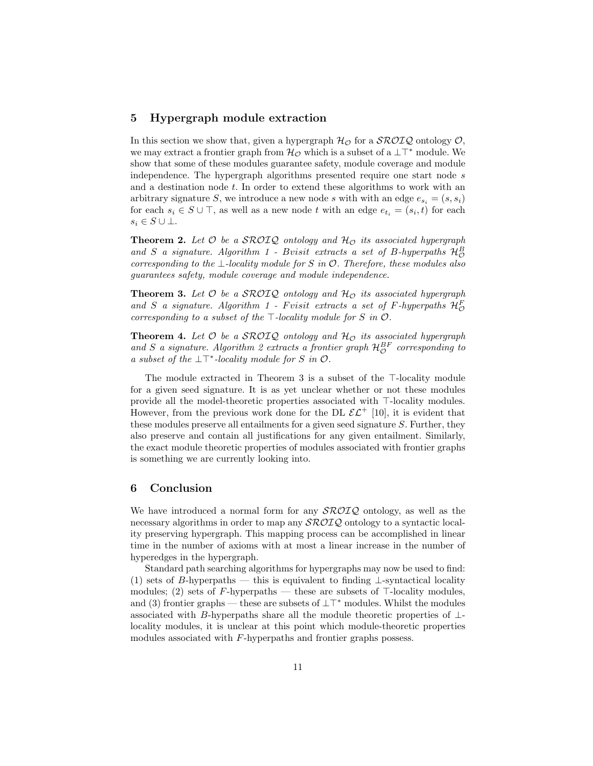## 5 Hypergraph module extraction

In this section we show that, given a hypergraph  $H_{\mathcal{O}}$  for a  $\mathcal{SROIQ}$  ontology  $\mathcal{O}$ , we may extract a frontier graph from  $\mathcal{H}_{\mathcal{O}}$  which is a subset of a  $\perp\top^*$  module. We show that some of these modules guarantee safety, module coverage and module independence. The hypergraph algorithms presented require one start node s and a destination node  $t$ . In order to extend these algorithms to work with an arbitrary signature S, we introduce a new node s with with an edge  $e_{s_i} = (s, s_i)$ for each  $s_i \in S \cup \top$ , as well as a new node t with an edge  $e_{t_i} = (s_i, t)$  for each  $s_i \in S \cup \bot$ .

**Theorem 2.** Let  $\mathcal O$  be a SROIQ ontology and  $\mathcal H_{\mathcal O}$  its associated hypergraph and S a signature. Algorithm 1 - Bvisit extracts a set of B-hyperpaths  $\mathcal{H}_{\mathcal{O}}^B$ corresponding to the  $\bot$ -locality module for S in  $\mathcal O$ . Therefore, these modules also guarantees safety, module coverage and module independence.

**Theorem 3.** Let  $\mathcal O$  be a SROIQ ontology and  $\mathcal H_{\mathcal O}$  its associated hypergraph and S a signature. Algorithm 1 - Fvisit extracts a set of F-hyperpaths  $\mathcal{H}_{\mathcal{O}}^F$ corresponding to a subset of the  $\top$ -locality module for S in  $\mathcal{O}$ .

**Theorem 4.** Let  $\mathcal O$  be a SROIQ ontology and  $\mathcal H_{\mathcal O}$  its associated hypergraph and S a signature. Algorithm 2 extracts a frontier graph  $\mathcal{H}_{\mathcal{O}}^{BF}$  corresponding to a subset of the  $\bot \top^*$ -locality module for S in  $\mathcal{O}$ .

The module extracted in Theorem 3 is a subset of the  $\top$ -locality module for a given seed signature. It is as yet unclear whether or not these modules provide all the model-theoretic properties associated with  $\top$ -locality modules. However, from the previous work done for the DL  $\mathcal{EL}^+$  [10], it is evident that these modules preserve all entailments for a given seed signature S. Further, they also preserve and contain all justifications for any given entailment. Similarly, the exact module theoretic properties of modules associated with frontier graphs is something we are currently looking into.

## 6 Conclusion

We have introduced a normal form for any  $\mathcal{SROLQ}$  ontology, as well as the necessary algorithms in order to map any  $\mathcal{SROLQ}$  ontology to a syntactic locality preserving hypergraph. This mapping process can be accomplished in linear time in the number of axioms with at most a linear increase in the number of hyperedges in the hypergraph.

Standard path searching algorithms for hypergraphs may now be used to find: (1) sets of B-hyperpaths — this is equivalent to finding  $\perp$ -syntactical locality modules; (2) sets of F-hyperpaths — these are subsets of  $\top$ -locality modules, and (3) frontier graphs — these are subsets of  $\perp\top^*$  modules. Whilst the modules associated with B-hyperpaths share all the module theoretic properties of  $\perp$ locality modules, it is unclear at this point which module-theoretic properties modules associated with F-hyperpaths and frontier graphs possess.